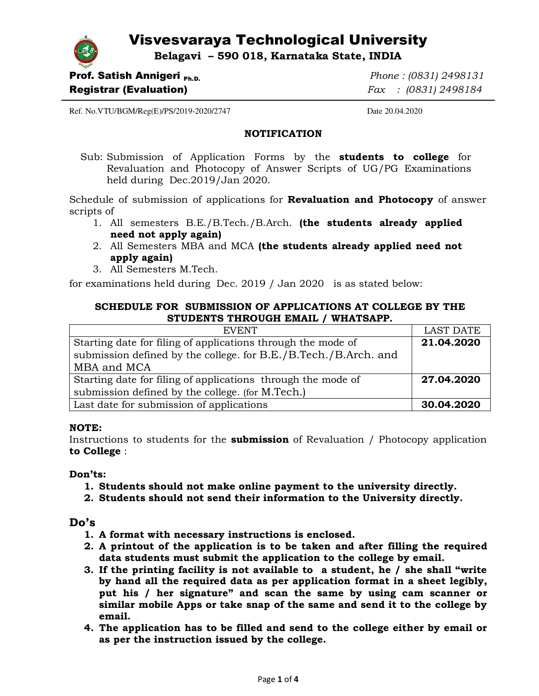# Visvesvaraya Technological University

**Belagavi – 590 018, Karnataka State, INDIA** 



Registrar (Evaluation) *Fax : (0831) 2498184*

**Prof. Satish Annigeri** Ph.D. *Phone : (0831) 2498131* 

Ref. No.VTU/BGM/Reg(E)/PS/2019-2020/2747 Date 20.04.2020

## **NOTIFICATION**

Sub: Submission of Application Forms by the **students to college** for Revaluation and Photocopy of Answer Scripts of UG/PG Examinations held during Dec.2019/Jan 2020.

Schedule of submission of applications for **Revaluation and Photocopy** of answer scripts of

- 1. All semesters B.E./B.Tech./B.Arch. **(the students already applied need not apply again)**
- 2. All Semesters MBA and MCA **(the students already applied need not apply again)**
- 3. All Semesters M.Tech.

for examinations held during Dec. 2019 / Jan 2020 is as stated below:

# **SCHEDULE FOR SUBMISSION OF APPLICATIONS AT COLLEGE BY THE STUDENTS THROUGH EMAIL / WHATSAPP.**

| <b>EVENT</b>                                                    | <b>LAST DATE</b> |
|-----------------------------------------------------------------|------------------|
| Starting date for filing of applications through the mode of    | 21.04.2020       |
| submission defined by the college. for B.E./B.Tech./B.Arch. and |                  |
| MBA and MCA                                                     |                  |
| Starting date for filing of applications through the mode of    | 27.04.2020       |
| submission defined by the college. (for M.Tech.)                |                  |
| Last date for submission of applications                        | 30.04.2020       |

# **NOTE:**

Instructions to students for the **submission** of Revaluation / Photocopy application **to College** :

# **Don'ts:**

- **1. Students should not make online payment to the university directly.**
- **2. Students should not send their information to the University directly.**

# **Do's**

- **1. A format with necessary instructions is enclosed.**
- **2. A printout of the application is to be taken and after filling the required data students must submit the application to the college by email.**
- **3. If the printing facility is not available to a student, he / she shall "write by hand all the required data as per application format in a sheet legibly, put his / her signature" and scan the same by using cam scanner or similar mobile Apps or take snap of the same and send it to the college by email.**
- **4. The application has to be filled and send to the college either by email or as per the instruction issued by the college.**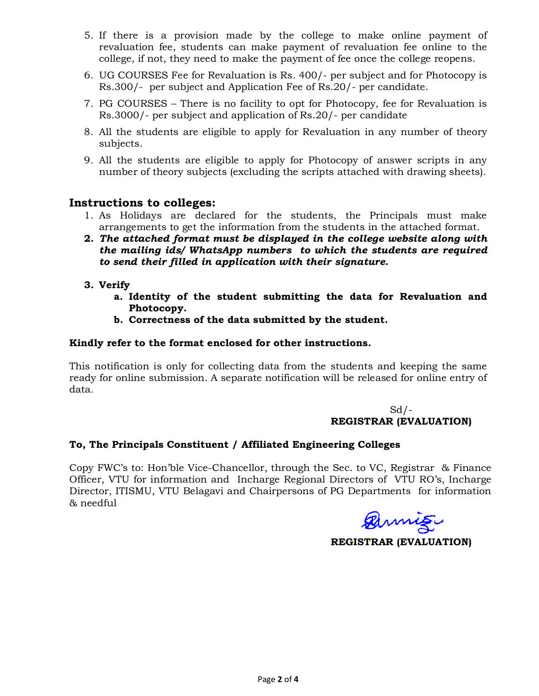- 5. If there is a provision made by the college to make online payment of revaluation fee, students can make payment of revaluation fee online to the college, if not, they need to make the payment of fee once the college reopens.
- 6. UG COURSES Fee for Revaluation is Rs. 400/- per subject and for Photocopy is Rs.300/- per subject and Application Fee of Rs.20/- per candidate.
- 7. PG COURSES There is no facility to opt for Photocopy, fee for Revaluation is Rs.3000/- per subject and application of Rs.20/- per candidate
- 8. All the students are eligible to apply for Revaluation in any number of theory subjects.
- 9. All the students are eligible to apply for Photocopy of answer scripts in any number of theory subjects (excluding the scripts attached with drawing sheets).

# **Instructions to colleges:**

- 1. As Holidays are declared for the students, the Principals must make arrangements to get the information from the students in the attached format.
- **2.** *The attached format must be displayed in the college website along with the mailing ids/ WhatsApp numbers to which the students are required to send their filled in application with their signature***.**
- **3. Verify** 
	- **a. Identity of the student submitting the data for Revaluation and Photocopy.**
	- **b. Correctness of the data submitted by the student.**

# **Kindly refer to the format enclosed for other instructions.**

This notification is only for collecting data from the students and keeping the same ready for online submission. A separate notification will be released for online entry of data.

# Sd/- **REGISTRAR (EVALUATION)**

# **To, The Principals Constituent / Affiliated Engineering Colleges**

Copy FWC's to: Hon'ble Vice-Chancellor, through the Sec. to VC, Registrar & Finance Officer, VTU for information and Incharge Regional Directors of VTU RO's, Incharge Director, ITISMU, VTU Belagavi and Chairpersons of PG Departments for information & needful

annis

**REGISTRAR (EVALUATION)**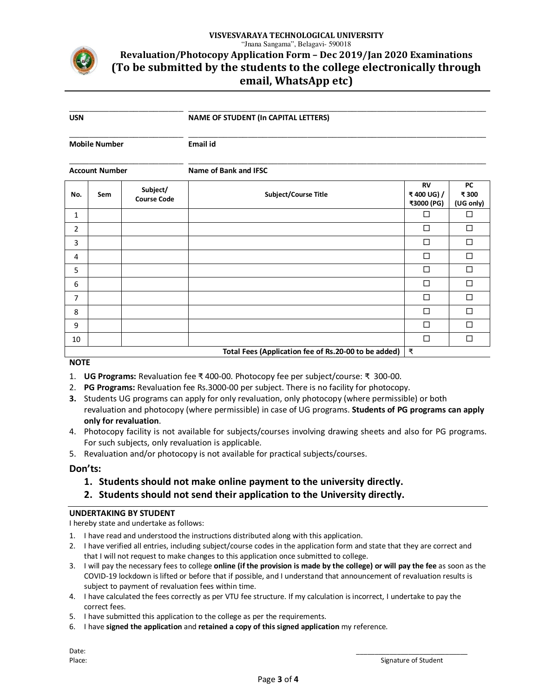

# **VISVESVARAYA TECHNOLOGICAL UNIVERSITY** "Jnana Sangama", Belagavi- 590018 **Revaluation/Photocopy Application Form – Dec 2019/Jan 2020 Examinations (To be submitted by the students to the college electronically through email, WhatsApp etc)**

\_\_\_\_\_\_\_\_\_\_\_\_\_\_\_\_\_\_\_\_\_\_\_ \_\_\_\_\_\_\_\_\_\_\_\_\_\_\_\_\_\_\_\_\_\_\_\_\_\_\_\_\_\_\_\_\_\_\_\_\_\_\_\_\_\_\_\_\_\_\_\_\_\_\_\_\_\_\_\_\_\_\_\_ **USN NAME OF STUDENT (In CAPITAL LETTERS)** 

**Mobile Number Email id** 

\_\_\_\_\_\_\_\_\_\_\_\_\_\_\_\_\_\_\_\_\_\_\_ \_\_\_\_\_\_\_\_\_\_\_\_\_\_\_\_\_\_\_\_\_\_\_\_\_\_\_\_\_\_\_\_\_\_\_\_\_\_\_\_\_\_\_\_\_\_\_\_\_\_\_\_\_\_\_\_\_\_\_\_

| Account Number | Name of Bank and IFSC |
|----------------|-----------------------|

| No. | Sem | Subject/<br><b>Course Code</b> | Subject/Course Title                                 | <b>RV</b><br>₹400 UG) /<br>₹3000 (PG) | <b>PC</b><br>₹300<br>(UG only) |
|-----|-----|--------------------------------|------------------------------------------------------|---------------------------------------|--------------------------------|
| 1   |     |                                |                                                      | □                                     | $\Box$                         |
| 2   |     |                                |                                                      | □                                     | $\Box$                         |
| 3   |     |                                |                                                      | $\Box$                                | $\Box$                         |
| 4   |     |                                |                                                      | $\Box$                                | $\Box$                         |
| 5   |     |                                |                                                      | $\Box$                                | $\Box$                         |
| 6   |     |                                |                                                      | $\Box$                                | $\Box$                         |
| 7   |     |                                |                                                      | $\Box$                                | $\Box$                         |
| 8   |     |                                |                                                      | □                                     | $\Box$                         |
| 9   |     |                                |                                                      | □                                     | $\Box$                         |
| 10  |     |                                |                                                      | $\Box$                                | $\Box$                         |
|     |     |                                | Total Fees (Application fee of Rs.20-00 to be added) | ₹                                     |                                |

#### **NOTE**

- 1. **UG Programs:** Revaluation fee ₹ 400-00. Photocopy fee per subject/course: ₹ 300-00.
- 2. **PG Programs:** Revaluation fee Rs.3000-00 per subject. There is no facility for photocopy.
- **3.** Students UG programs can apply for only revaluation, only photocopy (where permissible) or both revaluation and photocopy (where permissible) in case of UG programs. **Students of PG programs can apply only for revaluation**.
- 4. Photocopy facility is not available for subjects/courses involving drawing sheets and also for PG programs. For such subjects, only revaluation is applicable.
- 5. Revaluation and/or photocopy is not available for practical subjects/courses.

#### **Don'ts:**

- **1. Students should not make online payment to the university directly.**
- **2. Students should not send their application to the University directly.**

#### **UNDERTAKING BY STUDENT**

I hereby state and undertake as follows:

- 1. I have read and understood the instructions distributed along with this application.
- 2. I have verified all entries, including subject/course codes in the application form and state that they are correct and that I will not request to make changes to this application once submitted to college.
- 3. I will pay the necessary fees to college **online (if the provision is made by the college) or will pay the fee** as soon as the COVID-19 lockdown is lifted or before that if possible, and I understand that announcement of revaluation results is subject to payment of revaluation fees within time.
- 4. I have calculated the fees correctly as per VTU fee structure. If my calculation is incorrect, I undertake to pay the correct fees.
- 5. I have submitted this application to the college as per the requirements.
- 6. I have **signed the application** and **retained a copy of this signed application** my reference.

Date: \_\_\_\_\_\_\_\_\_\_\_\_\_\_\_\_\_\_\_\_\_\_\_\_\_\_\_\_\_\_